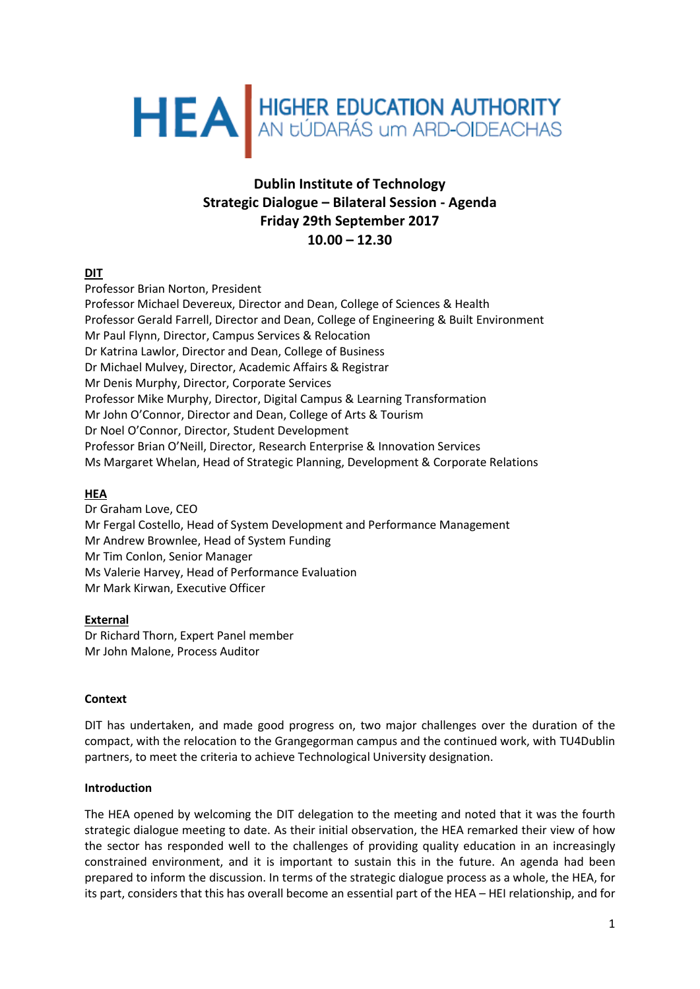# HEA HIGHER EDUCATION AUTHORITY

# **Dublin Institute of Technology Strategic Dialogue – Bilateral Session - Agenda Friday 29th September 2017 10.00 – 12.30**

# **DIT**

Professor Brian Norton, President Professor Michael Devereux, Director and Dean, College of Sciences & Health Professor Gerald Farrell, Director and Dean, College of Engineering & Built Environment Mr Paul Flynn, Director, Campus Services & Relocation Dr Katrina Lawlor, Director and Dean, College of Business Dr Michael Mulvey, Director, Academic Affairs & Registrar Mr Denis Murphy, Director, Corporate Services Professor Mike Murphy, Director, Digital Campus & Learning Transformation Mr John O'Connor, Director and Dean, College of Arts & Tourism Dr Noel O'Connor, Director, Student Development Professor Brian O'Neill, Director, Research Enterprise & Innovation Services Ms Margaret Whelan, Head of Strategic Planning, Development & Corporate Relations

# **HEA**

Dr Graham Love, CEO Mr Fergal Costello, Head of System Development and Performance Management Mr Andrew Brownlee, Head of System Funding Mr Tim Conlon, Senior Manager Ms Valerie Harvey, Head of Performance Evaluation Mr Mark Kirwan, Executive Officer

# **External**

Dr Richard Thorn, Expert Panel member Mr John Malone, Process Auditor

# **Context**

DIT has undertaken, and made good progress on, two major challenges over the duration of the compact, with the relocation to the Grangegorman campus and the continued work, with TU4Dublin partners, to meet the criteria to achieve Technological University designation.

# **Introduction**

The HEA opened by welcoming the DIT delegation to the meeting and noted that it was the fourth strategic dialogue meeting to date. As their initial observation, the HEA remarked their view of how the sector has responded well to the challenges of providing quality education in an increasingly constrained environment, and it is important to sustain this in the future. An agenda had been prepared to inform the discussion. In terms of the strategic dialogue process as a whole, the HEA, for its part, considers that this has overall become an essential part of the HEA – HEI relationship, and for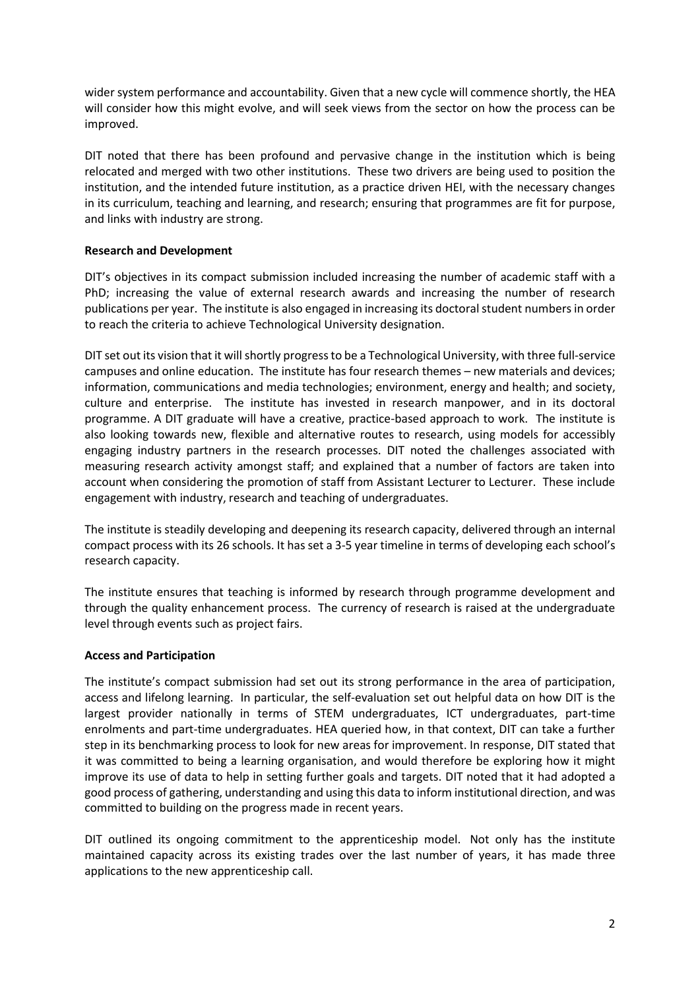wider system performance and accountability. Given that a new cycle will commence shortly, the HEA will consider how this might evolve, and will seek views from the sector on how the process can be improved.

DIT noted that there has been profound and pervasive change in the institution which is being relocated and merged with two other institutions. These two drivers are being used to position the institution, and the intended future institution, as a practice driven HEI, with the necessary changes in its curriculum, teaching and learning, and research; ensuring that programmes are fit for purpose, and links with industry are strong.

# **Research and Development**

DIT's objectives in its compact submission included increasing the number of academic staff with a PhD; increasing the value of external research awards and increasing the number of research publications per year. The institute is also engaged in increasing its doctoral student numbers in order to reach the criteria to achieve Technological University designation.

DIT set out its vision that it will shortly progress to be a Technological University, with three full-service campuses and online education. The institute has four research themes – new materials and devices; information, communications and media technologies; environment, energy and health; and society, culture and enterprise. The institute has invested in research manpower, and in its doctoral programme. A DIT graduate will have a creative, practice-based approach to work. The institute is also looking towards new, flexible and alternative routes to research, using models for accessibly engaging industry partners in the research processes. DIT noted the challenges associated with measuring research activity amongst staff; and explained that a number of factors are taken into account when considering the promotion of staff from Assistant Lecturer to Lecturer. These include engagement with industry, research and teaching of undergraduates.

The institute is steadily developing and deepening its research capacity, delivered through an internal compact process with its 26 schools. It has set a 3-5 year timeline in terms of developing each school's research capacity.

The institute ensures that teaching is informed by research through programme development and through the quality enhancement process. The currency of research is raised at the undergraduate level through events such as project fairs.

#### **Access and Participation**

The institute's compact submission had set out its strong performance in the area of participation, access and lifelong learning. In particular, the self-evaluation set out helpful data on how DIT is the largest provider nationally in terms of STEM undergraduates, ICT undergraduates, part-time enrolments and part-time undergraduates. HEA queried how, in that context, DIT can take a further step in its benchmarking process to look for new areas for improvement. In response, DIT stated that it was committed to being a learning organisation, and would therefore be exploring how it might improve its use of data to help in setting further goals and targets. DIT noted that it had adopted a good process of gathering, understanding and using this data to inform institutional direction, and was committed to building on the progress made in recent years.

DIT outlined its ongoing commitment to the apprenticeship model. Not only has the institute maintained capacity across its existing trades over the last number of years, it has made three applications to the new apprenticeship call.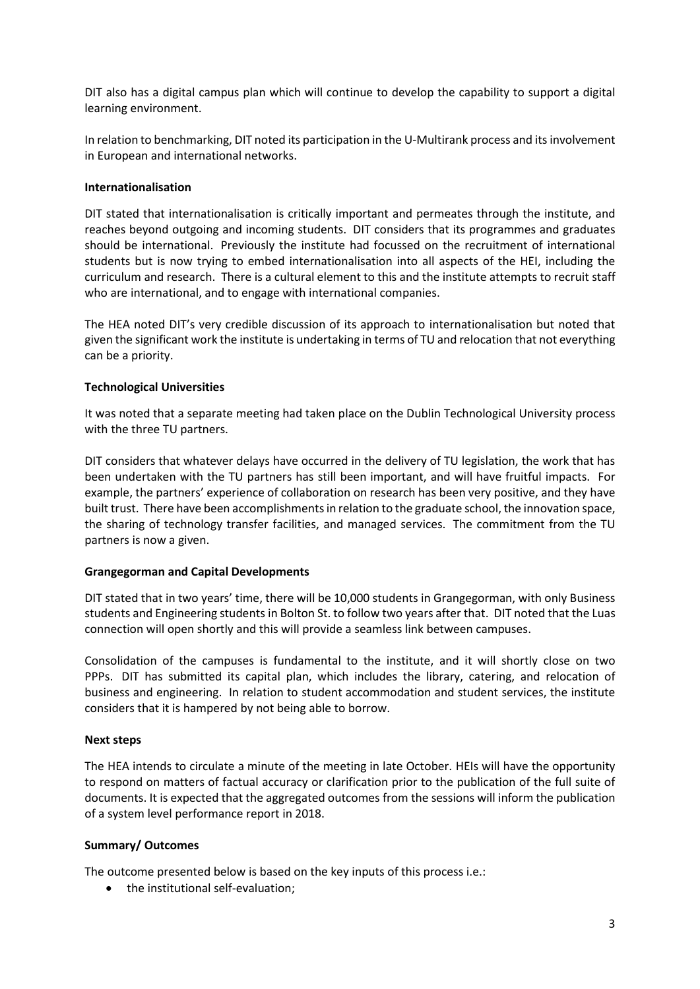DIT also has a digital campus plan which will continue to develop the capability to support a digital learning environment.

In relation to benchmarking, DIT noted its participation in the U-Multirank process and itsinvolvement in European and international networks.

#### **Internationalisation**

DIT stated that internationalisation is critically important and permeates through the institute, and reaches beyond outgoing and incoming students. DIT considers that its programmes and graduates should be international. Previously the institute had focussed on the recruitment of international students but is now trying to embed internationalisation into all aspects of the HEI, including the curriculum and research. There is a cultural element to this and the institute attempts to recruit staff who are international, and to engage with international companies.

The HEA noted DIT's very credible discussion of its approach to internationalisation but noted that given the significant work the institute is undertaking in terms of TU and relocation that not everything can be a priority.

#### **Technological Universities**

It was noted that a separate meeting had taken place on the Dublin Technological University process with the three TU partners.

DIT considers that whatever delays have occurred in the delivery of TU legislation, the work that has been undertaken with the TU partners has still been important, and will have fruitful impacts. For example, the partners' experience of collaboration on research has been very positive, and they have built trust. There have been accomplishments in relation to the graduate school, the innovation space, the sharing of technology transfer facilities, and managed services. The commitment from the TU partners is now a given.

#### **Grangegorman and Capital Developments**

DIT stated that in two years' time, there will be 10,000 students in Grangegorman, with only Business students and Engineering students in Bolton St. to follow two years after that. DIT noted that the Luas connection will open shortly and this will provide a seamless link between campuses.

Consolidation of the campuses is fundamental to the institute, and it will shortly close on two PPPs. DIT has submitted its capital plan, which includes the library, catering, and relocation of business and engineering. In relation to student accommodation and student services, the institute considers that it is hampered by not being able to borrow.

#### **Next steps**

The HEA intends to circulate a minute of the meeting in late October. HEIs will have the opportunity to respond on matters of factual accuracy or clarification prior to the publication of the full suite of documents. It is expected that the aggregated outcomes from the sessions will inform the publication of a system level performance report in 2018.

# **Summary/ Outcomes**

The outcome presented below is based on the key inputs of this process i.e.:

• the institutional self-evaluation;